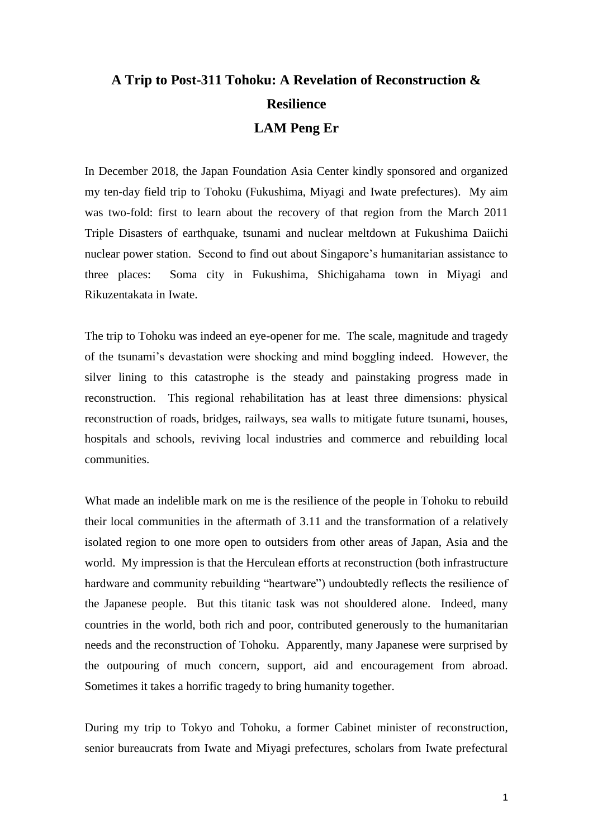## **A Trip to Post-311 Tohoku: A Revelation of Reconstruction & Resilience LAM Peng Er**

In December 2018, the Japan Foundation Asia Center kindly sponsored and organized my ten-day field trip to Tohoku (Fukushima, Miyagi and Iwate prefectures). My aim was two-fold: first to learn about the recovery of that region from the March 2011 Triple Disasters of earthquake, tsunami and nuclear meltdown at Fukushima Daiichi nuclear power station. Second to find out about Singapore's humanitarian assistance to three places: Soma city in Fukushima, Shichigahama town in Miyagi and Rikuzentakata in Iwate.

The trip to Tohoku was indeed an eye-opener for me. The scale, magnitude and tragedy of the tsunami's devastation were shocking and mind boggling indeed. However, the silver lining to this catastrophe is the steady and painstaking progress made in reconstruction. This regional rehabilitation has at least three dimensions: physical reconstruction of roads, bridges, railways, sea walls to mitigate future tsunami, houses, hospitals and schools, reviving local industries and commerce and rebuilding local communities.

What made an indelible mark on me is the resilience of the people in Tohoku to rebuild their local communities in the aftermath of 3.11 and the transformation of a relatively isolated region to one more open to outsiders from other areas of Japan, Asia and the world. My impression is that the Herculean efforts at reconstruction (both infrastructure hardware and community rebuilding "heartware") undoubtedly reflects the resilience of the Japanese people. But this titanic task was not shouldered alone. Indeed, many countries in the world, both rich and poor, contributed generously to the humanitarian needs and the reconstruction of Tohoku. Apparently, many Japanese were surprised by the outpouring of much concern, support, aid and encouragement from abroad. Sometimes it takes a horrific tragedy to bring humanity together.

During my trip to Tokyo and Tohoku, a former Cabinet minister of reconstruction, senior bureaucrats from Iwate and Miyagi prefectures, scholars from Iwate prefectural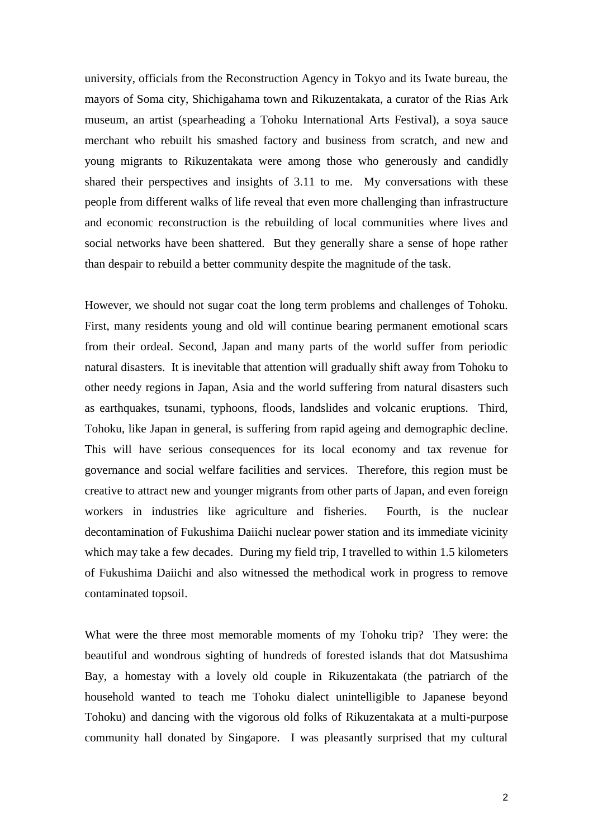university, officials from the Reconstruction Agency in Tokyo and its Iwate bureau, the mayors of Soma city, Shichigahama town and Rikuzentakata, a curator of the Rias Ark museum, an artist (spearheading a Tohoku International Arts Festival), a soya sauce merchant who rebuilt his smashed factory and business from scratch, and new and young migrants to Rikuzentakata were among those who generously and candidly shared their perspectives and insights of 3.11 to me. My conversations with these people from different walks of life reveal that even more challenging than infrastructure and economic reconstruction is the rebuilding of local communities where lives and social networks have been shattered. But they generally share a sense of hope rather than despair to rebuild a better community despite the magnitude of the task.

However, we should not sugar coat the long term problems and challenges of Tohoku. First, many residents young and old will continue bearing permanent emotional scars from their ordeal. Second, Japan and many parts of the world suffer from periodic natural disasters. It is inevitable that attention will gradually shift away from Tohoku to other needy regions in Japan, Asia and the world suffering from natural disasters such as earthquakes, tsunami, typhoons, floods, landslides and volcanic eruptions. Third, Tohoku, like Japan in general, is suffering from rapid ageing and demographic decline. This will have serious consequences for its local economy and tax revenue for governance and social welfare facilities and services. Therefore, this region must be creative to attract new and younger migrants from other parts of Japan, and even foreign workers in industries like agriculture and fisheries. Fourth, is the nuclear decontamination of Fukushima Daiichi nuclear power station and its immediate vicinity which may take a few decades. During my field trip, I travelled to within 1.5 kilometers of Fukushima Daiichi and also witnessed the methodical work in progress to remove contaminated topsoil.

What were the three most memorable moments of my Tohoku trip? They were: the beautiful and wondrous sighting of hundreds of forested islands that dot Matsushima Bay, a homestay with a lovely old couple in Rikuzentakata (the patriarch of the household wanted to teach me Tohoku dialect unintelligible to Japanese beyond Tohoku) and dancing with the vigorous old folks of Rikuzentakata at a multi-purpose community hall donated by Singapore. I was pleasantly surprised that my cultural